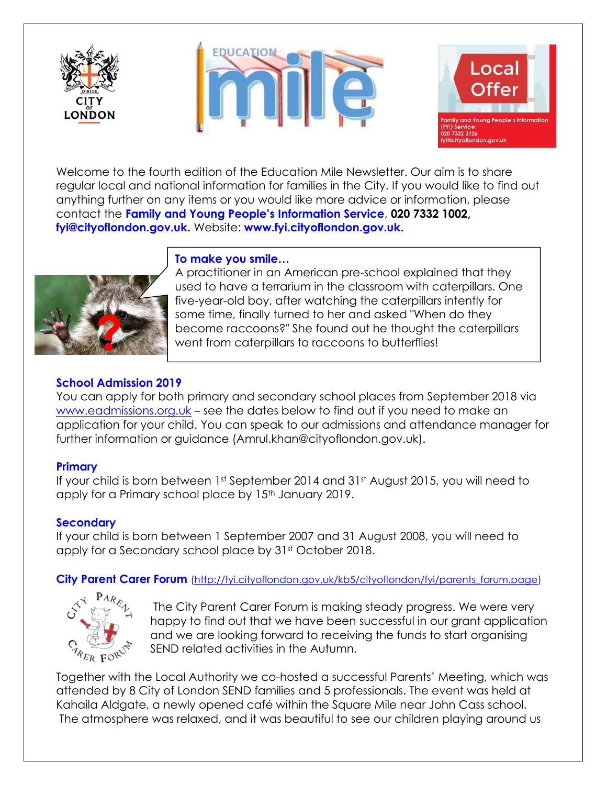





Welcome to the fourth edition of the Education Mile Newsletter. Our aim is to share regular local and national information for families in the City. If you would like to find out anything further on any items or you would like more advice or information, please contact the **Family and Young People's Information Service**, **020 7332 1002, [fyi@cityoflondon.gov.uk.](mailto:fyi@cityoflondon.gov.uk)** Website: **[www.fyi.cityoflondon.gov.uk.](http://www.fyi.cityoflondon.gov.uk/)**



## **To make you smile…**

A practitioner in an American pre-school explained that they used to have a terrarium in the classroom with caterpillars. One five-year-old boy, after watching the caterpillars intently for some time, finally turned to her and asked "When do they become raccoons?" She found out he thought the caterpillars went from caterpillars to raccoons to butterflies!

# **School Admission 2019**

You can apply for both primary and secondary school places from September 2018 via [www.eadmissions.org.uk](http://www.eadmissions.org.uk/) – see the dates below to find out if you need to make an application for your child. You can speak to our admissions and attendance manager for further information or guidance (Amrul.khan@cityoflondon.gov.uk).

## **Primary**

If your child is born between 1st September 2014 and 31st August 2015, you will need to apply for a Primary school place by 15<sup>th</sup> January 2019.

## **Secondary**

If your child is born between 1 September 2007 and 31 August 2008, you will need to apply for a Secondary school place by 31st October 2018.

**City Parent Carer Forum** [\(http://fyi.cityoflondon.gov.uk/kb5/cityoflondon/fyi/parents\\_forum.page\)](http://fyi.cityoflondon.gov.uk/kb5/cityoflondon/fyi/parents_forum.page)



The City Parent Carer Forum is making steady progress. We were very happy to find out that we have been successful in our grant application and we are looking forward to receiving the funds to start organising SEND related activities in the Autumn.

Together with the Local Authority we co-hosted a successful Parents' Meeting, which was attended by 8 City of London SEND families and 5 professionals. The event was held at Kahaila Aldgate, a newly opened café within the Square Mile near John Cass school. The atmosphere was relaxed, and it was beautiful to see our children playing around us